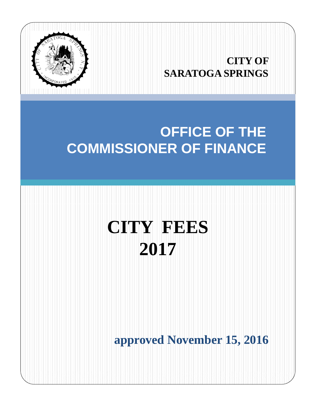

## **CITY OF SARATOGA SPRINGS**

# **OFFICE OF THE COMMISSIONER OF FINANCE**

# **CITY FEES 2017**

**approved November 15, 2016**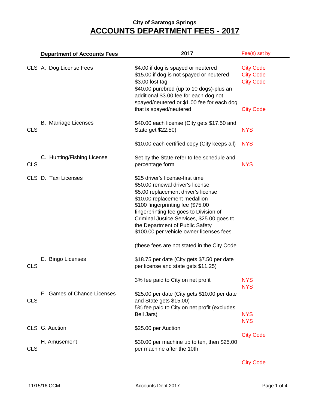|            | <b>Department of Accounts Fees</b> | 2017                                                                                                                                                                                                                                                                                                                                                     | Fee(s) set by                                                                |
|------------|------------------------------------|----------------------------------------------------------------------------------------------------------------------------------------------------------------------------------------------------------------------------------------------------------------------------------------------------------------------------------------------------------|------------------------------------------------------------------------------|
|            | CLS A. Dog License Fees            | \$4.00 if dog is spayed or neutered<br>\$15.00 if dog is not spayed or neutered<br>\$3.00 lost tag<br>\$40.00 purebred (up to 10 dogs)-plus an<br>additional \$3.00 fee for each dog not<br>spayed/neutered or \$1.00 fee for each dog<br>that is spayed/neutered                                                                                        | <b>City Code</b><br><b>City Code</b><br><b>City Code</b><br><b>City Code</b> |
| <b>CLS</b> | <b>B.</b> Marriage Licenses        | \$40.00 each license (City gets \$17.50 and<br>State get \$22.50)                                                                                                                                                                                                                                                                                        | <b>NYS</b>                                                                   |
|            |                                    | \$10.00 each certified copy (City keeps all)                                                                                                                                                                                                                                                                                                             | <b>NYS</b>                                                                   |
| <b>CLS</b> | C. Hunting/Fishing License         | Set by the State-refer to fee schedule and<br>percentage form                                                                                                                                                                                                                                                                                            | <b>NYS</b>                                                                   |
|            | CLS D. Taxi Licenses               | \$25 driver's license-first time<br>\$50.00 renewal driver's license<br>\$5.00 replacement driver's license<br>\$10.00 replacement medallion<br>\$100 fingerprinting fee (\$75.00<br>fingerprinting fee goes to Division of<br>Criminal Justice Services, \$25.00 goes to<br>the Department of Public Safety<br>\$100.00 per vehicle owner licenses fees |                                                                              |
|            |                                    | (these fees are not stated in the City Code                                                                                                                                                                                                                                                                                                              |                                                                              |
| <b>CLS</b> | E. Bingo Licenses                  | \$18.75 per date (City gets \$7.50 per date<br>per license and state gets \$11.25)                                                                                                                                                                                                                                                                       |                                                                              |
|            |                                    | 3% fee paid to City on net profit                                                                                                                                                                                                                                                                                                                        | <b>NYS</b><br><b>NYS</b>                                                     |
| <b>CLS</b> | F. Games of Chance Licenses        | \$25.00 per date (City gets \$10.00 per date<br>and State gets \$15.00)<br>5% fee paid to City on net profit (excludes<br>Bell Jars)                                                                                                                                                                                                                     | <b>NYS</b>                                                                   |
|            | CLS G. Auction                     | \$25.00 per Auction                                                                                                                                                                                                                                                                                                                                      | <b>NYS</b>                                                                   |
| <b>CLS</b> | H. Amusement                       | \$30.00 per machine up to ten, then \$25.00<br>per machine after the 10th                                                                                                                                                                                                                                                                                | <b>City Code</b>                                                             |

City Code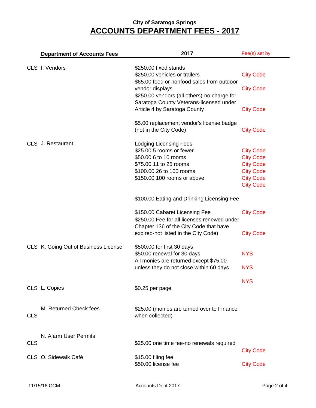|            | <b>Department of Accounts Fees</b>   | 2017                                                                                                                                                                    | Fee(s) set by                                                                                                        |
|------------|--------------------------------------|-------------------------------------------------------------------------------------------------------------------------------------------------------------------------|----------------------------------------------------------------------------------------------------------------------|
|            | CLS I. Vendors                       | \$250.00 fixed stands<br>\$250.00 vehicles or trailers                                                                                                                  | <b>City Code</b>                                                                                                     |
|            |                                      | \$65.00 food or nonfood sales from outdoor<br>vendor displays<br>\$250.00 vendors (all others)-no charge for                                                            | <b>City Code</b>                                                                                                     |
|            |                                      | Saratoga County Veterans-licensed under<br>Article 4 by Saratoga County                                                                                                 | <b>City Code</b>                                                                                                     |
|            |                                      | \$5.00 replacement vendor's license badge<br>(not in the City Code)                                                                                                     | <b>City Code</b>                                                                                                     |
|            | CLS J. Restaurant                    | <b>Lodging Licensing Fees</b><br>\$25.00 5 rooms or fewer<br>\$50.00 6 to 10 rooms<br>\$75.00 11 to 25 rooms<br>\$100.00 26 to 100 rooms<br>\$150.00 100 rooms or above | <b>City Code</b><br><b>City Code</b><br><b>City Code</b><br><b>City Code</b><br><b>City Code</b><br><b>City Code</b> |
|            |                                      | \$100.00 Eating and Drinking Licensing Fee                                                                                                                              |                                                                                                                      |
|            |                                      | \$150.00 Cabaret Licensing Fee<br>\$250.00 Fee for all licenses renewed under<br>Chapter 136 of the City Code that have                                                 | <b>City Code</b>                                                                                                     |
|            |                                      | expired-not listed in the City Code)                                                                                                                                    | <b>City Code</b>                                                                                                     |
|            | CLS K. Going Out of Business License | \$500.00 for first 30 days<br>\$50.00 renewal for 30 days<br>All monies are returned except \$75.00                                                                     | <b>NYS</b>                                                                                                           |
|            |                                      | unless they do not close within 60 days                                                                                                                                 | <b>NYS</b>                                                                                                           |
|            | CLS L. Copies                        | \$0.25 per page                                                                                                                                                         | <b>NYS</b>                                                                                                           |
| <b>CLS</b> | M. Returned Check fees               | \$25.00 (monies are turned over to Finance<br>when collected)                                                                                                           |                                                                                                                      |
| <b>CLS</b> | N. Alarm User Permits                | \$25.00 one time fee-no renewals required                                                                                                                               |                                                                                                                      |
|            | CLS O. Sidewalk Café                 | \$15.00 filing fee<br>\$50.00 license fee                                                                                                                               | <b>City Code</b><br><b>City Code</b>                                                                                 |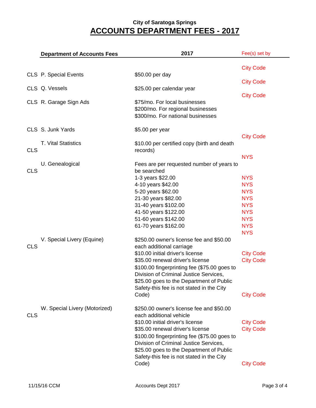|            | <b>Department of Accounts Fees</b> | 2017                                                                                                                                                                                                                                                    | Fee(s) set by                        |
|------------|------------------------------------|---------------------------------------------------------------------------------------------------------------------------------------------------------------------------------------------------------------------------------------------------------|--------------------------------------|
|            |                                    |                                                                                                                                                                                                                                                         |                                      |
|            | CLS P. Special Events              | \$50.00 per day                                                                                                                                                                                                                                         | <b>City Code</b>                     |
|            |                                    |                                                                                                                                                                                                                                                         | <b>City Code</b>                     |
|            | CLS Q. Vessels                     | \$25.00 per calendar year                                                                                                                                                                                                                               | <b>City Code</b>                     |
|            | CLS R. Garage Sign Ads             | \$75/mo. For local businesses<br>\$200/mo. For regional businesses<br>\$300/mo. For national businesses                                                                                                                                                 |                                      |
|            | CLS S. Junk Yards                  | \$5.00 per year                                                                                                                                                                                                                                         |                                      |
|            |                                    |                                                                                                                                                                                                                                                         | <b>City Code</b>                     |
| <b>CLS</b> | <b>T. Vital Statistics</b>         | \$10.00 per certified copy (birth and death<br>records)                                                                                                                                                                                                 |                                      |
|            |                                    |                                                                                                                                                                                                                                                         | <b>NYS</b>                           |
| <b>CLS</b> | U. Genealogical                    | Fees are per requested number of years to<br>be searched                                                                                                                                                                                                |                                      |
|            |                                    | 1-3 years \$22.00                                                                                                                                                                                                                                       | <b>NYS</b>                           |
|            |                                    | 4-10 years \$42.00                                                                                                                                                                                                                                      | <b>NYS</b>                           |
|            |                                    | 5-20 years \$62.00                                                                                                                                                                                                                                      | <b>NYS</b>                           |
|            |                                    | 21-30 years \$82.00                                                                                                                                                                                                                                     | <b>NYS</b>                           |
|            |                                    | 31-40 years \$102.00                                                                                                                                                                                                                                    | <b>NYS</b>                           |
|            |                                    | 41-50 years \$122.00                                                                                                                                                                                                                                    | <b>NYS</b>                           |
|            |                                    | 51-60 years \$142.00                                                                                                                                                                                                                                    | <b>NYS</b>                           |
|            |                                    | 61-70 years \$162.00                                                                                                                                                                                                                                    | <b>NYS</b><br><b>NYS</b>             |
|            | V. Special Livery (Equine)         | \$250.00 owner's license fee and \$50.00                                                                                                                                                                                                                |                                      |
| <b>CLS</b> |                                    | each additional carriage                                                                                                                                                                                                                                |                                      |
|            |                                    | \$10.00 initial driver's license                                                                                                                                                                                                                        | <b>City Code</b>                     |
|            |                                    | \$35.00 renewal driver's license                                                                                                                                                                                                                        | <b>City Code</b>                     |
|            |                                    | \$100.00 fingerprinting fee (\$75.00 goes to<br>Division of Criminal Justice Services,<br>\$25.00 goes to the Department of Public                                                                                                                      |                                      |
|            |                                    | Safety-this fee is not stated in the City<br>Code)                                                                                                                                                                                                      | <b>City Code</b>                     |
|            |                                    |                                                                                                                                                                                                                                                         |                                      |
| <b>CLS</b> | W. Special Livery (Motorized)      | \$250.00 owner's license fee and \$50.00<br>each additional vehicle                                                                                                                                                                                     |                                      |
|            |                                    | \$10.00 initial driver's license<br>\$35.00 renewal driver's license<br>\$100.00 fingerprinting fee (\$75.00 goes to<br>Division of Criminal Justice Services,<br>\$25.00 goes to the Department of Public<br>Safety-this fee is not stated in the City | <b>City Code</b><br><b>City Code</b> |
|            |                                    | Code)                                                                                                                                                                                                                                                   | <b>City Code</b>                     |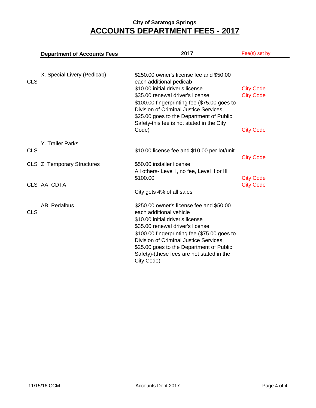|            | <b>Department of Accounts Fees</b> | 2017                                                                                                                                                                                                                                                                                                                                         | Fee(s) set by                        |
|------------|------------------------------------|----------------------------------------------------------------------------------------------------------------------------------------------------------------------------------------------------------------------------------------------------------------------------------------------------------------------------------------------|--------------------------------------|
|            |                                    |                                                                                                                                                                                                                                                                                                                                              |                                      |
| <b>CLS</b> | X. Special Livery (Pedicab)        | \$250.00 owner's license fee and \$50.00<br>each additional pedicab<br>\$10.00 initial driver's license<br>\$35.00 renewal driver's license<br>\$100.00 fingerprinting fee (\$75.00 goes to<br>Division of Criminal Justice Services,<br>\$25.00 goes to the Department of Public                                                            | <b>City Code</b><br><b>City Code</b> |
|            |                                    | Safety-this fee is not stated in the City<br>Code)                                                                                                                                                                                                                                                                                           | <b>City Code</b>                     |
|            | Y. Trailer Parks                   |                                                                                                                                                                                                                                                                                                                                              |                                      |
| <b>CLS</b> |                                    | \$10.00 license fee and \$10.00 per lot/unit                                                                                                                                                                                                                                                                                                 | <b>City Code</b>                     |
|            | CLS Z. Temporary Structures        | \$50.00 installer license<br>All others- Level I, no fee, Level II or III                                                                                                                                                                                                                                                                    |                                      |
|            | CLS AA. CDTA                       | \$100.00                                                                                                                                                                                                                                                                                                                                     | <b>City Code</b><br><b>City Code</b> |
|            |                                    | City gets 4% of all sales                                                                                                                                                                                                                                                                                                                    |                                      |
| <b>CLS</b> | AB. Pedalbus                       | \$250.00 owner's license fee and \$50.00<br>each additional vehicle<br>\$10.00 initial driver's license<br>\$35.00 renewal driver's license<br>\$100.00 fingerprinting fee (\$75.00 goes to<br>Division of Criminal Justice Services,<br>\$25.00 goes to the Department of Public<br>Safety)-(these fees are not stated in the<br>City Code) |                                      |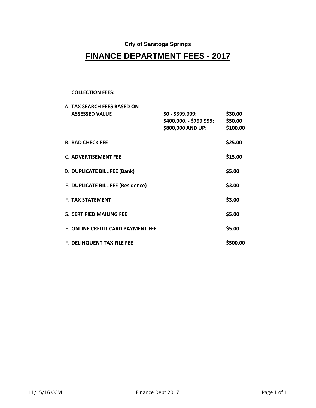#### **City of Saratoga Springs**

## **FINANCE DEPARTMENT FEES - 2017**

#### **COLLECTION FEES:**

| A. TAX SEARCH FEES BASED ON       |                         |          |
|-----------------------------------|-------------------------|----------|
| <b>ASSESSED VALUE</b>             | \$0 - \$399,999:        | \$30.00  |
|                                   | \$400,000. - \$799,999: | \$50.00  |
|                                   | \$800,000 AND UP:       | \$100.00 |
|                                   |                         |          |
| <b>B. BAD CHECK FEE</b>           |                         | \$25.00  |
|                                   |                         |          |
| C. ADVERTISEMENT FEE              |                         | \$15.00  |
|                                   |                         |          |
| D. DUPLICATE BILL FEE (Bank)      |                         | \$5.00   |
| E. DUPLICATE BILL FEE (Residence) |                         | \$3.00   |
|                                   |                         |          |
| <b>F. TAX STATEMENT</b>           |                         | \$3.00   |
|                                   |                         |          |
| <b>G. CERTIFIED MAILING FEE</b>   |                         | \$5.00   |
|                                   |                         |          |
| E. ONLINE CREDIT CARD PAYMENT FEE |                         | \$5.00   |
| F. DELINQUENT TAX FILE FEE        |                         | \$500.00 |
|                                   |                         |          |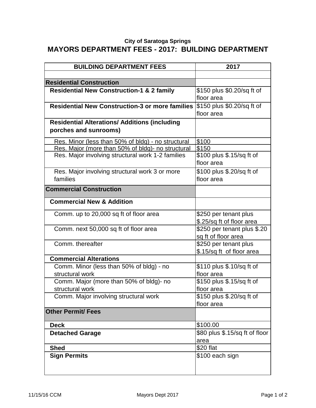#### **City of Saratoga Springs MAYORS DEPARTMENT FEES - 2017: BUILDING DEPARTMENT**

| <b>BUILDING DEPARTMENT FEES</b>                        | 2017                           |
|--------------------------------------------------------|--------------------------------|
|                                                        |                                |
| <b>Residential Construction</b>                        |                                |
| <b>Residential New Construction-1 &amp; 2 family</b>   | \$150 plus \$0.20/sq ft of     |
|                                                        | floor area                     |
| <b>Residential New Construction-3 or more families</b> | \$150 plus \$0.20/sq ft of     |
|                                                        | floor area                     |
| <b>Residential Alterations/ Additions (including</b>   |                                |
| porches and sunrooms)                                  |                                |
| Res. Minor (less than 50% of bldg) - no structural     | \$100                          |
| Res. Major (more than 50% of bldg)- no structural      | \$150                          |
| Res. Major involving structural work 1-2 families      | \$100 plus \$.15/sq ft of      |
|                                                        | floor area                     |
| Res. Major involving structural work 3 or more         | \$100 plus \$.20/sq ft of      |
| families                                               | floor area                     |
| <b>Commercial Construction</b>                         |                                |
| <b>Commercial New &amp; Addition</b>                   |                                |
| Comm. up to 20,000 sq ft of floor area                 | \$250 per tenant plus          |
|                                                        | \$.25/sq ft of floor area      |
| Comm. next 50,000 sq ft of floor area                  | \$250 per tenant plus \$.20    |
|                                                        | sq ft of floor area            |
| Comm. thereafter                                       | \$250 per tenant plus          |
|                                                        | \$.15/sq ft of floor area      |
| <b>Commercial Alterations</b>                          |                                |
| Comm. Minor (less than 50% of bldg) - no               | \$110 plus \$.10/sq ft of      |
| structural work                                        | floor area                     |
| Comm. Major (more than 50% of bldg)- no                | \$150 plus \$.15/sq ft of      |
| structural work                                        | floor area                     |
| Comm. Major involving structural work                  | \$150 plus \$.20/sq ft of      |
|                                                        | floor area                     |
| <b>Other Permit/ Fees</b>                              |                                |
| <b>Deck</b>                                            | \$100.00                       |
| <b>Detached Garage</b>                                 | \$80 plus \$.15/sq ft of floor |
|                                                        | area                           |
| <b>Shed</b>                                            | \$20 flat                      |
| <b>Sign Permits</b>                                    | \$100 each sign                |
|                                                        |                                |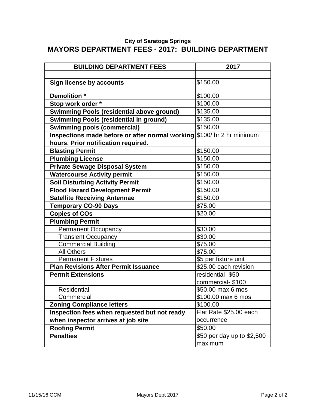#### **City of Saratoga Springs MAYORS DEPARTMENT FEES - 2017: BUILDING DEPARTMENT**

| <b>BUILDING DEPARTMENT FEES</b>                                        | 2017                       |
|------------------------------------------------------------------------|----------------------------|
|                                                                        |                            |
| <b>Sign license by accounts</b>                                        | \$150.00                   |
| Demolition *                                                           | \$100.00                   |
| Stop work order *                                                      | \$100.00                   |
| <b>Swimming Pools (residential above ground)</b>                       | \$135.00                   |
| <b>Swimming Pools (residential in ground)</b>                          | \$135.00                   |
| <b>Swimming pools (commercial)</b>                                     | \$150.00                   |
| Inspections made before or after normal working \$100/ hr 2 hr minimum |                            |
| hours. Prior notification required.                                    |                            |
| <b>Blasting Permit</b>                                                 | \$150.00                   |
| <b>Plumbing License</b>                                                | \$150.00                   |
| <b>Private Sewage Disposal System</b>                                  | \$150.00                   |
| <b>Watercourse Activity permit</b>                                     | \$150.00                   |
| <b>Soil Disturbing Activity Permit</b>                                 | \$150.00                   |
| <b>Flood Hazard Development Permit</b>                                 | \$150.00                   |
| <b>Satellite Receiving Antennae</b>                                    | \$150.00                   |
| <b>Temporary CO-90 Days</b>                                            | \$75.00                    |
| <b>Copies of COs</b>                                                   | \$20.00                    |
| <b>Plumbing Permit</b>                                                 |                            |
| <b>Permanent Occupancy</b>                                             | \$30.00                    |
| <b>Transient Occupancy</b>                                             | \$30.00                    |
| <b>Commercial Building</b>                                             | \$75.00                    |
| <b>All Others</b>                                                      | \$75.00                    |
| <b>Permanent Fixtures</b>                                              | \$5 per fixture unit       |
| <b>Plan Revisions After Permit Issuance</b>                            | \$25.00 each revision      |
| <b>Permit Extensions</b>                                               | residential-\$50           |
|                                                                        | commercial-\$100           |
| <b>Residential</b>                                                     | \$50.00 max 6 mos          |
| Commercial                                                             | \$100.00 max 6 mos         |
| <b>Zoning Compliance letters</b>                                       | \$100.00                   |
| Inspection fees when requested but not ready                           | Flat Rate \$25.00 each     |
| when inspector arrives at job site                                     | occurrence                 |
| <b>Roofing Permit</b>                                                  | \$50.00                    |
| <b>Penalties</b>                                                       | \$50 per day up to \$2,500 |
|                                                                        | maximum                    |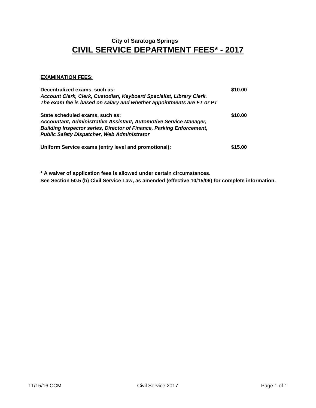## **CIVIL SERVICE DEPARTMENT FEES\* - 2017 City of Saratoga Springs**

#### **EXAMINATION FEES:**

| Decentralized exams, such as:<br>Account Clerk, Clerk, Custodian, Keyboard Specialist, Library Clerk.<br>The exam fee is based on salary and whether appointments are FT or PT                                                            | \$10.00 |
|-------------------------------------------------------------------------------------------------------------------------------------------------------------------------------------------------------------------------------------------|---------|
| State scheduled exams, such as:<br>Accountant, Administrative Assistant, Automotive Service Manager,<br><b>Building Inspector series, Director of Finance, Parking Enforcement,</b><br><b>Public Safety Dispatcher, Web Administrator</b> | \$10.00 |
| Uniform Service exams (entry level and promotional):                                                                                                                                                                                      | \$15.00 |

**\* A waiver of application fees is allowed under certain circumstances. See Section 50.5 (b) Civil Service Law, as amended (effective 10/15/06) for complete information.**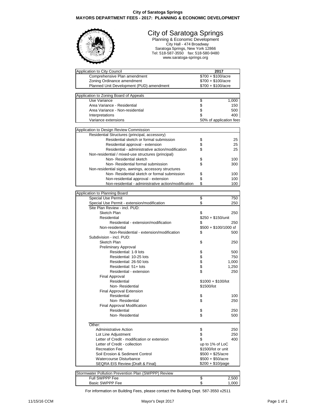#### **City of Saratoga Springs MAYORS DEPARTMENT FEES - 2017: PLANNING & ECONOMIC DEVELOPMENT**



#### City of Saratoga Springs

Planning & Economic Development City Hall - 474 Broadway Saratoga Springs, New York 12866 Tel: 518-587-3550 fax: 518-580-9480 www.saratoga-springs.org

| Application to City Council                          | 2017                       |       |
|------------------------------------------------------|----------------------------|-------|
| Comprehensive Plan amendment                         | $$700 + $100/ \text{acre}$ |       |
| Zoning Ordinance amendment                           | $$700 + $100/ \text{acre}$ |       |
| Planned Unit Development (PUD) amendment             | $$700 + $100/ \text{acre}$ |       |
|                                                      |                            |       |
| Application to Zoning Board of Appeals               |                            |       |
| Use Variance                                         | \$                         | 1,000 |
| Area Variance - Residential                          | \$                         | 150   |
| Area Variance - Non-residential                      |                            | 500   |
| Interpretations                                      | \$                         | 400   |
| Variance extensions                                  | 50% of application fees    |       |
|                                                      |                            |       |
| Application to Design Review Commission              |                            |       |
| Residential Structures (principal, accessory)        |                            |       |
| Residential sketch or formal submission              | \$                         | 25    |
| Residential approval - extension                     | \$                         | 25    |
| Residential - administrative action/modification     | \$                         | 25    |
| Non-residential / mixed-use structures (principal)   |                            |       |
| Non-Residential sketch                               | \$                         | 100   |
| Non-Residential formal submission                    | \$                         | 300   |
| Non-residential signs, awnings, accessory structures |                            |       |
| Non-Residential sketch or formal submission          | \$                         | 100   |
| Non-residential approval - extension                 | \$                         | 100   |
| Non-residential - administrative action/modification | \$                         | 100   |
|                                                      |                            |       |
| Application to Planning Board                        |                            |       |
| <b>Special Use Permit</b>                            | \$                         | 750   |
| Special Use Permit - extension/modification          | \$                         | 250   |
| Site Plan Review - incl. PUD:                        |                            |       |
| Sketch Plan                                          | \$                         | 250   |
| Residential                                          | \$250 + \$150/unit         |       |
| Residential - extension/modification                 | \$                         | 250   |
| Non-residential                                      | $$500 + $100/1000$ sf      |       |
| Non-Residential - extension/modification             | S                          | 500   |
| Subdivision - incl. PUD:                             |                            |       |
| Sketch Plan                                          |                            |       |
|                                                      | \$                         | 250   |
| Preliminary Approval                                 |                            |       |
| Residential: 1-9 lots                                | \$                         | 500   |
| Residential: 10-25 lots                              |                            | 750   |
| Residential: 26-50 lots                              |                            | 1,000 |
| Residential: 51+ lots                                | \$\$\$                     | 1,250 |
| Residential - extension                              |                            | 250   |
| <b>Final Approval</b>                                |                            |       |
| Residential                                          | $$1000 + $100/$ lot        |       |
| Non-Residential                                      | \$1500/lot                 |       |
| Final Approval Extension                             |                            |       |
| Residential                                          | \$                         | 100   |
| Non-Residential                                      | \$                         | 250   |
| Final Approval Modification                          |                            |       |
| Residential                                          | \$                         | 250   |
| Non-Residential                                      | \$                         | 500   |
|                                                      |                            |       |
| Other:                                               |                            |       |
| <b>Administrative Action</b>                         | \$                         | 250   |
| Lot Line Adjustment                                  | \$                         | 250   |
| Letter of Credit - modification or extension         | \$                         | 400   |
| Letter of Credit - collection                        | up to 1% of LoC            |       |
| <b>Recreation Fee</b>                                | \$1500/lot or unit         |       |
| Soil Erosion & Sediment Control                      | $$500 + $25/$ acre         |       |
| <b>Watercourse Disturbance</b>                       | $$500 + $50/$ acre         |       |
| SEQRA EIS Review (Draft & Final)                     | \$200 + \$10/page          |       |
|                                                      |                            |       |
| Stormwater Pollution Prevention Plan (SWPPP) Review  |                            |       |
|                                                      |                            |       |

Full SWPPP Fee  $\begin{array}{ccccc} 5 & 2,500 \\ 3 & 2,500 \end{array}$ Basic SWPPP Fee

For information on Building Fees, please contact the Building Dept. 587-3550 x2511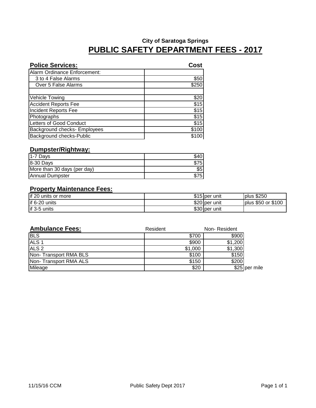| <b>Police Services:</b>      | Cost  |
|------------------------------|-------|
| Alarm Ordinance Enforcement: |       |
| 3 to 4 False Alarms          | \$50  |
| Over 5 False Alarms          | \$250 |
|                              |       |
| <b>Vehicle Towing</b>        | \$20  |
| <b>Accident Reports Fee</b>  | \$15  |
| <b>Incident Reports Fee</b>  | \$15  |
| Photographs                  | \$15  |
| Letters of Good Conduct      | \$15  |
| Background checks- Employees | \$100 |
| Background checks-Public     | \$1   |

#### **Dumpster/Rightway:**

| 1-7 Days                    |                 |
|-----------------------------|-----------------|
| 8-30 Days                   | 375I            |
| More than 30 days (per day) | \$5             |
| <b>Annual Dumpster</b>      | 75 <sub>1</sub> |

#### **Property Maintenance Fees:**

| lif 20<br>units or more | $$15$ per | unit          | plus \$250            |
|-------------------------|-----------|---------------|-----------------------|
| if 6-20 units           | $$20$ per | unit          | or \$100<br>plus \$50 |
| if 3-5 units            |           | \$30 per unit |                       |

| <b>Ambulance Fees:</b> | Resident | Non-Resident |               |
|------------------------|----------|--------------|---------------|
| <b>BLS</b>             | \$700    | \$900        |               |
| ALS <sub>1</sub>       | \$900    | \$1,200      |               |
| ALS <sub>2</sub>       | \$1,000  | \$1,300      |               |
| Non-Transport RMA BLS  | \$100    | \$150        |               |
| Non-Transport RMA ALS  | \$150    | \$200        |               |
| Mileage                | \$20     |              | \$25 per mile |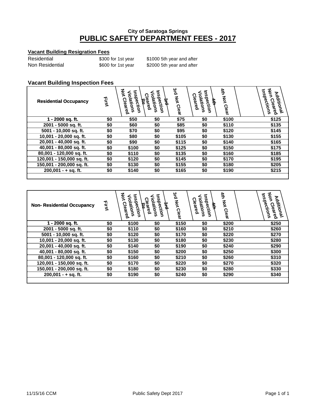#### **Vacant Building Resigration Fees**

| Residential     | \$300 for 1st |
|-----------------|---------------|
| Non Residential | \$600 for 1st |

year \$1000 5th year and after year \$2000 5th year and after

#### **Vacant Building Inspection Fees**

| <b>Residential Occupancy</b>  | Elist | 5<br>ï۵<br>Ë<br>₹. | ō<br>∍ | 3rd Not<br>Clear | ĩ۵<br>ation<br>ëred<br>štion | 参<br>ξ<br>Clear | ъ<br>కి<br>을<br>દે<br>៹<br>စွဲ |
|-------------------------------|-------|--------------------|--------|------------------|------------------------------|-----------------|--------------------------------|
| $\overline{1}$ - 2000 sq. ft. | \$0   | \$50               | \$0    | \$75             | \$0                          | \$100           | \$125                          |
| 2001 - 5000 sa. ft.           | \$0   | \$60               |        | \$85             | S0                           | \$110           | \$135                          |
| 5001 - 10,000 sq. ft.         | \$0   | \$70               | \$0    | \$95             | ß۵                           | \$120           | \$145                          |
| 10,001 - 20,000 sq. ft.       | \$0   | \$80               | \$0    | \$105            | \$0                          | \$130           | \$155                          |
| 20,001 - 40,000 sq. ft.       | \$0   | \$90               | \$0    | \$115            | \$0                          | \$140           | \$165                          |
| 40,001 - 80,000 sq. ft.       | \$0   | \$100              | \$0    | \$125            | \$0                          | \$150           | \$175                          |
| 80,001 - 120,000 sq. ft.      | \$0   | \$110              | \$0    | \$135            | \$0                          | \$160           | \$185                          |
| 120,001 - 150,000 sq. ft.     | \$0   | \$120              | \$0    | \$145            | \$0                          | \$170           | \$195                          |
| 150,001 - 200,000 sq. ft.     | \$Ω   | \$130              | \$0    | \$155            | ፍሰ                           | \$180           | \$205                          |
| 200.001 - + sa. ft.           | \$0   | \$140              | S0     | \$165            | ß۵                           | \$190           | \$215                          |
|                               |       |                    |        |                  |                              |                 |                                |

| <b>Non-Residential Occupancy</b> | Eirst | इ<br>ō<br>ᅙ<br>pection<br>Cleared<br>lations | ō<br>otic<br><b>pection</b> | 3rd Not Clear | รี<br>ಕ<br>Cleared<br><b>Adions</b><br>pection | 针<br>ξ<br><b>Clear</b> | 3<br>ō<br>ד<br>త్<br><b>Julibonal</b><br>jectio<br>Clear<br>डू<br>इ<br>ၜႝ |
|----------------------------------|-------|----------------------------------------------|-----------------------------|---------------|------------------------------------------------|------------------------|---------------------------------------------------------------------------|
| 1 - 2000 sq. ft.                 | \$0   | \$100                                        | \$0                         | \$150         | \$0                                            | \$200                  | \$250                                                                     |
| 2001 - 5000 sq. ft.              | SO    | \$110                                        | 50                          | \$160         |                                                | \$210                  | \$260                                                                     |
| 5001 - 10,000 sq. ft.            | \$0   | \$120                                        | S0                          | \$170         | S0                                             | \$220                  | \$270                                                                     |
| 10,001 - 20,000 sq. ft.          | \$0   | \$130                                        | \$0                         | \$180         | \$0                                            | \$230                  | \$280                                                                     |
| 20,001 - 40,000 sq. ft.          | \$0   | \$140                                        | \$0                         | \$190         | \$0                                            | \$240                  | \$290                                                                     |
| 40,001 - 80,000 sq. ft.          | \$0   | \$150                                        | \$0                         | \$200         | \$0                                            | \$250                  | \$300                                                                     |
| 80,001 - 120,000 sq. ft.         | \$0   | \$160                                        | \$0                         | \$210         | \$0                                            | \$260                  | \$310                                                                     |
| 120,001 - 150,000 sq. ft.        | \$0   | \$170                                        | \$0                         | \$220         | \$0                                            | \$270                  | \$320                                                                     |
| 150,001 - 200,000 sq. ft.        | \$0   | \$180                                        | SO.                         | \$230         | SO.                                            | \$280                  | \$330                                                                     |
| $200.001 - +$ sq. ft.            | \$0   | \$190                                        | \$0                         | \$240         | \$0                                            | \$290                  | \$340                                                                     |
|                                  |       |                                              |                             |               |                                                |                        |                                                                           |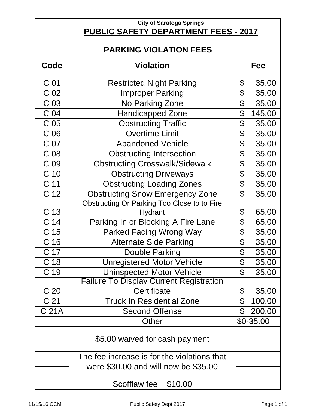| <b>City of Saratoga Springs</b>             |                                                |                            |              |  |  |  |  |  |  |  |
|---------------------------------------------|------------------------------------------------|----------------------------|--------------|--|--|--|--|--|--|--|
| <b>PUBLIC SAFETY DEPARTMENT FEES - 2017</b> |                                                |                            |              |  |  |  |  |  |  |  |
|                                             |                                                |                            |              |  |  |  |  |  |  |  |
| <b>PARKING VIOLATION FEES</b>               |                                                |                            |              |  |  |  |  |  |  |  |
| Code                                        | <b>Violation</b>                               |                            |              |  |  |  |  |  |  |  |
|                                             |                                                |                            |              |  |  |  |  |  |  |  |
| C 01                                        | <b>Restricted Night Parking</b>                | \$                         | 35.00        |  |  |  |  |  |  |  |
| C <sub>02</sub>                             | <b>Improper Parking</b>                        | \$                         | 35.00        |  |  |  |  |  |  |  |
| C <sub>03</sub>                             | No Parking Zone                                | \$                         | 35.00        |  |  |  |  |  |  |  |
| C <sub>04</sub>                             | <b>Handicapped Zone</b>                        | \$                         | 145.00       |  |  |  |  |  |  |  |
| C <sub>05</sub>                             | <b>Obstructing Traffic</b>                     | \$                         | 35.00        |  |  |  |  |  |  |  |
| C <sub>06</sub>                             | <b>Overtime Limit</b>                          | \$                         | 35.00        |  |  |  |  |  |  |  |
| C 07                                        | <b>Abandoned Vehicle</b>                       | \$                         | 35.00        |  |  |  |  |  |  |  |
| C <sub>08</sub>                             | <b>Obstructing Intersection</b>                | \$                         | 35.00        |  |  |  |  |  |  |  |
| C <sub>09</sub>                             | <b>Obstructing Crosswalk/Sidewalk</b>          | \$                         | 35.00        |  |  |  |  |  |  |  |
| C <sub>10</sub>                             | <b>Obstructing Driveways</b>                   | \$                         | 35.00        |  |  |  |  |  |  |  |
| C <sub>11</sub>                             | <b>Obstructing Loading Zones</b>               | \$                         | 35.00        |  |  |  |  |  |  |  |
| C <sub>12</sub>                             | <b>Obstructing Snow Emergency Zone</b>         | $\mathfrak{P}$             | 35.00        |  |  |  |  |  |  |  |
|                                             | Obstructing Or Parking Too Close to to Fire    |                            |              |  |  |  |  |  |  |  |
| C 13                                        | Hydrant                                        | \$                         | 65.00        |  |  |  |  |  |  |  |
| C <sub>14</sub>                             | Parking In or Blocking A Fire Lane             | \$                         | 65.00        |  |  |  |  |  |  |  |
| C <sub>15</sub>                             | <b>Parked Facing Wrong Way</b>                 | \$                         | 35.00        |  |  |  |  |  |  |  |
| C <sub>16</sub>                             | <b>Alternate Side Parking</b>                  | \$                         | 35.00        |  |  |  |  |  |  |  |
| C 17                                        | Double Parking                                 | \$                         | 35.00        |  |  |  |  |  |  |  |
| C <sub>18</sub>                             | <b>Unregistered Motor Vehicle</b>              | \$                         | 35.00        |  |  |  |  |  |  |  |
| C 19                                        | <b>Uninspected Motor Vehicle</b>               | \$                         | 35.00        |  |  |  |  |  |  |  |
|                                             | <b>Failure To Display Current Registration</b> |                            |              |  |  |  |  |  |  |  |
| C 20                                        | Certificate                                    | \$                         | 35.00        |  |  |  |  |  |  |  |
| C <sub>21</sub>                             | <b>Truck In Residential Zone</b>               | $\boldsymbol{\mathcal{L}}$ | 100.00       |  |  |  |  |  |  |  |
| C 21A                                       | <b>Second Offense</b>                          | \$                         | 200.00       |  |  |  |  |  |  |  |
|                                             | Other                                          |                            | $$0 - 35.00$ |  |  |  |  |  |  |  |
|                                             |                                                |                            |              |  |  |  |  |  |  |  |
|                                             | \$5.00 waived for cash payment                 |                            |              |  |  |  |  |  |  |  |
|                                             | The fee increase is for the violations that    |                            |              |  |  |  |  |  |  |  |
|                                             | were \$30.00 and will now be \$35.00           |                            |              |  |  |  |  |  |  |  |
|                                             |                                                |                            |              |  |  |  |  |  |  |  |
|                                             | \$10.00<br>Scofflaw fee                        |                            |              |  |  |  |  |  |  |  |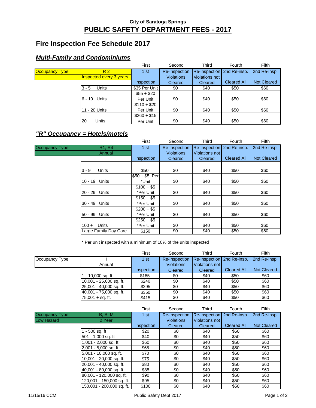## **Fire Inspection Fee Schedule 2017**

#### **Multi-Family and Condominiums**

|                       |                                | First         | Second            | Third                      | Fourth             | Fifth              |
|-----------------------|--------------------------------|---------------|-------------------|----------------------------|--------------------|--------------------|
| <b>Occupancy Type</b> | R <sub>2</sub>                 | 1st           | Re-inspection     | Re-inspection 2nd Re-insp. |                    | 2nd Re-insp.       |
|                       | <b>Inspected every 3 years</b> |               | <b>Violations</b> | violations not             |                    |                    |
|                       |                                | inspection    | Cleared           | Cleared                    | <b>Cleared All</b> | <b>Not Cleared</b> |
|                       | Units<br>$3 - 5$               | \$35 Per Unit | \$0               | \$40                       | \$50               | \$60               |
|                       |                                | $$55 + $20$   |                   |                            |                    |                    |
|                       | 6 - 10 Units                   | Per Unit      | \$0               | \$40                       | \$50               | \$60               |
|                       |                                | $$110 + $20$  |                   |                            |                    |                    |
|                       | 11 - 20 Units                  | Per Unit      | \$0               | \$40                       | \$50               | \$60               |
|                       |                                | $$260 + $15$  |                   |                            |                    |                    |
|                       | Units<br>$20 +$                | Per Unit      | \$0               | \$40                       | \$50               | \$60               |

#### **"R" Occupancy = Hotels/motels**

|                |                                 | First          | Second            | Third                 | Fourth             | Fifth              |
|----------------|---------------------------------|----------------|-------------------|-----------------------|--------------------|--------------------|
| Occupancy Type | R <sub>1</sub> , R <sub>4</sub> | 1st            | Re-inspection     | <b>Re-inspection</b>  | 2nd Re-insp.       | 2nd Re-insp.       |
|                | Annual                          |                | <b>Violations</b> | <b>Violations not</b> |                    |                    |
|                |                                 | inspection     | Cleared           | Cleared               | <b>Cleared All</b> | <b>Not Cleared</b> |
|                |                                 |                |                   |                       |                    |                    |
|                | $3 - 9$<br>Units                | \$50           | \$0               | \$40                  | \$50               | \$60               |
|                |                                 | $$50 + $5$ Per |                   |                       |                    |                    |
|                | 10 - 19 Units                   | *Unit          | \$0               | \$40                  | \$50               | \$60               |
|                |                                 | $$100 + $5$    |                   |                       |                    |                    |
|                | 20 - 29 Units                   | *Per Unit      | \$0               | \$40                  | \$50               | \$60               |
|                |                                 | $$150 + $5$    |                   |                       |                    |                    |
|                | 30 - 49 Units                   | *Per Unit      | \$0               | \$40                  | \$50               | \$60               |
|                |                                 | $$200 + $5$    |                   |                       |                    |                    |
|                | 50 - 99 Units                   | *Per Unit      | \$0               | \$40                  | \$50               | \$60               |
|                |                                 | $$250 + $5$    |                   |                       |                    |                    |
|                | <b>Units</b><br>$100 +$         | *Per Unit      | \$0               | \$40                  | \$50               | \$60               |
|                | Large Family Day Care           | \$150          | \$0               | \$40                  | \$50               | \$60               |

\* Per unit inspected with a minimum of 10% of the units inspected

|                |                         | First           | Second            | Third                      | Fourth             | Fifth              |
|----------------|-------------------------|-----------------|-------------------|----------------------------|--------------------|--------------------|
| Occupancy Type |                         | 1 <sub>st</sub> | Re-inspection     | Re-inspection 2nd Re-insp. |                    | 2nd Re-insp.       |
|                | Annual                  |                 | <b>Violations</b> | Violations not             |                    |                    |
|                |                         | inspection      | Cleared           | Cleared                    | <b>Cleared All</b> | <b>Not Cleared</b> |
|                | - 10,000 sq. ft.        | \$185           | \$0               | \$40                       | \$50               | \$60               |
|                | 10,001 - 25,000 sq. ft. | \$240           | \$0               | \$40                       | \$50               | \$60               |
|                | 25,001 - 40,000 sq. ft. | \$295           | \$0               | \$40                       | \$50               | \$60               |
|                | 40,001 - 75,000 sq. ft. | \$350           | \$0               | \$40                       | \$50               | \$60               |
|                | $75.001 + sa.$ ft.      | \$415           | \$0               | \$40                       | \$50               | \$60               |

|                |                           | First      | Second            | Third                      | Fourth             | Fifth              |
|----------------|---------------------------|------------|-------------------|----------------------------|--------------------|--------------------|
| Occupancy Type | B, S, M                   | 1st        | Re-inspection     | Re-inspection 2nd Re-insp. |                    | 2nd Re-insp.       |
| Low Hazard     | 2 Year                    |            | <b>Violations</b> | <b>Violations not</b>      |                    |                    |
|                |                           | inspection | Cleared           | Cleared                    | <b>Cleared All</b> | <b>Not Cleared</b> |
|                | - 500 sq. ft              | \$20       | \$0               | \$40                       | \$50               | \$60               |
|                | 501 - 1,000 sq. ft        | \$40       | \$0               | \$40                       | \$50               | \$60               |
|                | .001 - 2,000 sq. ft       | \$60       | \$0               | \$40                       | \$50               | \$60               |
|                | 2,001 - 5,000 sq. ft.     | \$65       | \$0               | \$40                       | \$50               | \$60               |
|                | 5,001 - 10,000 sq. ft.    | \$70       | \$0               | \$40                       | \$50               | \$60               |
|                | 10,001 - 20,000 sq. ft.   | \$75       | \$0               | \$40                       | \$50               | \$60               |
|                | 20,001 - 40,000 sq. ft.   | \$80       | \$0               | \$40                       | \$50               | \$60               |
|                | 40,001 - 80,000 sq. ft.   | \$85       | \$0               | \$40                       | \$50               | \$60               |
|                | 80,001 - 120,000 sq. ft.  | \$90       | \$0               | \$40                       | \$50               | \$60               |
|                | 120,001 - 150,000 sq. ft. | \$95       | \$0               | \$40                       | \$50               | \$60               |
|                | 150.001 - 200.000 sq. ft. | \$100      | \$0               | \$40                       | \$50               | \$60               |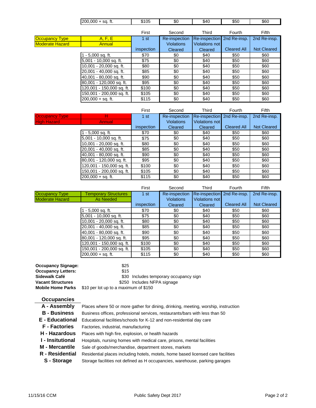|                        | $\sqrt{200,000}$ + sq. ft. | \$105      | \$0                  | \$40                  | \$50               | \$60               |
|------------------------|----------------------------|------------|----------------------|-----------------------|--------------------|--------------------|
|                        |                            | First      | Second               | Third                 | Fourth             | Fifth              |
| <b>Occupancy Type</b>  | A, F, E                    | 1 st       | Re-inspection        | Re-inspection         | 2nd Re-insp.       | 2nd Re-insp.       |
| <b>Moderate Hazard</b> | Annual                     |            | <b>Violations</b>    | Violations not        |                    |                    |
|                        |                            | inspection | Cleared              | Cleared               | <b>Cleared All</b> | <b>Not Cleared</b> |
|                        | - 5,000 sq. ft.            | \$70       | \$0                  | \$40                  | \$50               | \$60               |
|                        | 5,001 - 10,000 sq. ft.     | \$75       | \$0                  | \$40                  | \$50               | \$60               |
|                        | 10,001 - 20,000 sq. ft.    | \$80       | \$0                  | \$40                  | \$50               | \$60               |
|                        | 20,001 - 40,000 sq. ft.    | \$85       | \$0                  | \$40                  | \$50               | \$60               |
|                        | 40,001 - 80,000 sq. ft.    | \$90       | \$0                  | \$40                  | \$50               | \$60               |
|                        | 80,001 - 120,000 sq. ft.   | \$95       | \$0                  | \$40                  | \$50               | \$60               |
|                        | 120,001 - 150,000 sq. ft.  | \$100      | \$0                  | \$40                  | \$50               | \$60               |
|                        | 150,001 - 200,000 sq. ft.  | \$105      | \$0                  | \$40                  | \$50               | \$60               |
|                        | $200,000 + sq.$ ft.        | \$115      | \$0                  | \$40                  | \$50               | \$60               |
|                        |                            |            |                      |                       |                    |                    |
|                        |                            | First      | Second               | Third                 | Fourth             | Fifth              |
| <b>Occupancy Type</b>  | н                          | 1st        | <b>Re-inspection</b> | Re-inspection         | 2nd Re-insp.       | 2nd Re-insp.       |
| <b>High Hazard</b>     | Annual                     |            | <b>Violations</b>    | <b>Violations not</b> |                    |                    |
|                        |                            | inspection | Cleared              | Cleared               | <b>Cleared All</b> | <b>Not Cleared</b> |
|                        | 1 - 5,000 sq. ft.          | \$70       | \$0                  | \$40                  | \$50               | \$60               |

|                        | 40,001 - 80,000 sq. ft.     | \$90       | \$0               | \$40                       | \$50               | \$60               |
|------------------------|-----------------------------|------------|-------------------|----------------------------|--------------------|--------------------|
|                        | 80,001 - 120,000 sq. ft.    | \$95       | \$0               | \$40                       | \$50               | \$60               |
|                        | 120,001 - 150,000 sq. ft.   | \$100      | \$0               | \$40                       | \$50               | \$60               |
|                        | 150,001 - 200,000 sq. ft.   | \$105      | \$0               | \$40                       | \$50               | \$60               |
|                        | $200,000 + sq.$ ft.         | \$115      | \$0               | \$40                       | \$50               | \$60               |
|                        |                             |            |                   |                            |                    |                    |
|                        |                             | First      | Second            | Third                      | Fourth             | Fifth              |
| Occupancy Type         | <b>Temporary Structures</b> | 1st        | Re-inspection     | Re-inspection 2nd Re-insp. |                    | 2nd Re-insp.       |
| <b>Moderate Hazard</b> | <b>As Needed</b>            |            | <b>Violations</b> | Violations not             |                    |                    |
|                        |                             | inspection | Cleared           | Cleared                    | <b>Cleared All</b> | <b>Not Cleared</b> |
|                        | 1 - 5,000 sq. ft.           | \$70       | \$0               | \$40                       | \$50               | \$60               |
|                        | 5,001 - 10,000 sq. ft.      | \$75       | \$0               | \$40                       | \$50               | \$60               |
|                        | 10,001 - 20,000 sq. ft.     | \$80       | \$0               | \$40                       | \$50               | \$60               |
|                        | 20,001 - 40,000 sq. ft.     | \$85       | \$0               | \$40                       | \$50               | \$60               |
|                        | 40.001 - 80.000 sq. ft.     | \$90       | \$0               | \$40                       | \$50               | \$60               |

5,001 - 10,000 sq. ft. \$75 \$0 \$40 \$50 \$60 10,001 - 20,000 sq. ft. **\$80** \$50 \$40 \$50 \$60<br>10,001 - 40,000 sq. ft. \$85 \$50 \$40 \$50 \$60 20,001 - 40,000 sq. ft. **\$85** \$0 \$40 \$50 \$60<br>40,001 - 80,000 sq. ft. \$90 \$0 \$40 \$50 \$60

80,001 - 120,000 sq. ft. 595 \$0 \$0 \$40 \$50 \$60 120,001 - 150,000 sq. ft. | \$100 | \$0 | \$40 | \$50 | \$60 150,001 - 200,000 sq. ft. | \$105 | \$0 | \$40 | \$50 | \$60 200,000 + sq. ft. | \$115 | \$0 | \$40 | \$50 | \$60

| <b>Occupancy Signage:</b> | \$25                                   |  |  |  |  |  |  |
|---------------------------|----------------------------------------|--|--|--|--|--|--|
| <b>Occupancy Letters:</b> | \$15                                   |  |  |  |  |  |  |
| Sidewalk Café             | \$30 Includes temporary occupancy sign |  |  |  |  |  |  |
| <b>Vacant Structures</b>  | \$250 Includes NFPA signage            |  |  |  |  |  |  |
| <b>Mobile Home Parks</b>  | \$10 per lot up to a maximum of \$150  |  |  |  |  |  |  |

| <b>Occupancies</b>    |                                                                                    |
|-----------------------|------------------------------------------------------------------------------------|
| A - Assembly          | Places where 50 or more gather for dining, drinking, meeting, worship, instruction |
| <b>B</b> - Business   | Business offices, professional services, restaurants/bars with less than 50        |
| E - Educational       | Educational facilities/schools for K-12 and non-residential day care               |
| <b>F</b> - Factories  | Factories, industrial, manufacturing                                               |
| H - Hazardous         | Places with high fire, explosion, or health hazards                                |
| I - Insitutional      | Hospitals, nursing homes with medical care, prisons, mental facilities             |
| <b>M</b> - Mercantile | Sale of goods/merchandise, department stores, markets                              |
| R - Residential       | Residential places including hotels, motels, home based licensed care facilities   |
| S - Storage           | Storage facilities not defined as H occupancies, warehouse, parking garages        |
|                       |                                                                                    |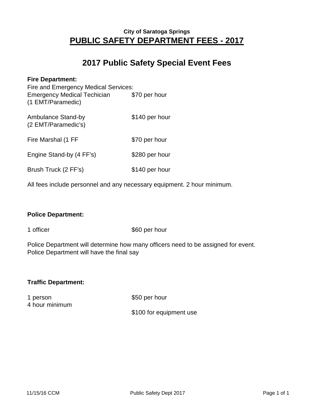## **2017 Public Safety Special Event Fees**

| <b>Fire Department:</b><br>Fire and Emergency Medical Services:<br><b>Emergency Medical Techician</b><br>(1 EMT/Paramedic) | \$70 per hour  |
|----------------------------------------------------------------------------------------------------------------------------|----------------|
| Ambulance Stand-by<br>(2 EMT/Paramedic's)                                                                                  | \$140 per hour |
| Fire Marshal (1 FF                                                                                                         | \$70 per hour  |
| Engine Stand-by (4 FF's)                                                                                                   | \$280 per hour |
| Brush Truck (2 FF's)                                                                                                       | \$140 per hour |

All fees include personnel and any necessary equipment. 2 hour minimum.

#### **Police Department:**

1 officer \$60 per hour

Police Department will determine how many officers need to be assigned for event. Police Department will have the final say

#### **Traffic Department:**

1 person \$50 per hour 4 hour minimum

#### \$100 for equipment use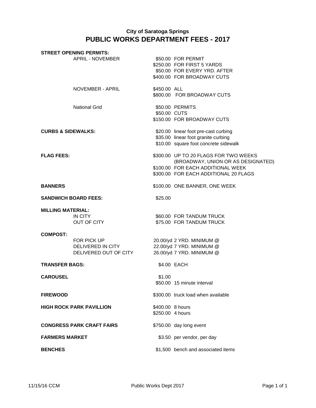|                               | <b>STREET OPENING PERMITS:</b>                            |                                      |                                                                                                                                                           |
|-------------------------------|-----------------------------------------------------------|--------------------------------------|-----------------------------------------------------------------------------------------------------------------------------------------------------------|
|                               | APRIL - NOVEMBER                                          |                                      | \$50.00 FOR PERMIT<br>\$250.00 FOR FIRST 5 YARDS<br>\$50.00 FOR EVERY YRD. AFTER<br>\$400.00 FOR BROADWAY CUTS                                            |
|                               | NOVEMBER - APRIL                                          | \$450.00 ALL                         | \$800.00 FOR BROADWAY CUTS                                                                                                                                |
|                               | <b>National Grid</b>                                      | \$50.00 CUTS                         | \$50.00 PERMITS<br>\$150.00 FOR BROADWAY CUTS                                                                                                             |
| <b>CURBS &amp; SIDEWALKS:</b> |                                                           |                                      | \$20.00 linear foot pre-cast curbing<br>\$35.00 linear foot granite curbing<br>\$10.00 square foot concrete sidewalk                                      |
| <b>FLAG FEES:</b>             |                                                           |                                      | \$300.00 UP TO 20 FLAGS FOR TWO WEEKS<br>(BROADWAY, UNION OR AS DESIGNATED)<br>\$100.00 FOR EACH ADDITIONAL WEEK<br>\$300.00 FOR EACH ADDITIONAL 20 FLAGS |
| <b>BANNERS</b>                |                                                           |                                      | \$100.00 ONE BANNER, ONE WEEK                                                                                                                             |
|                               | <b>SANDWICH BOARD FEES:</b>                               | \$25.00                              |                                                                                                                                                           |
| <b>MILLING MATERIAL:</b>      | IN CITY<br>OUT OF CITY                                    |                                      | \$60.00 FOR TANDUM TRUCK<br>\$75.00 FOR TANDUM TRUCK                                                                                                      |
| <b>COMPOST:</b>               | FOR PICK UP<br>DELIVERED IN CITY<br>DELIVERED OUT OF CITY |                                      | 20.00/yd 2 YRD. MINIMUM @<br>22.00/yd 7 YRD. MINIMUM @<br>26.00/yd 7 YRD. MINIMUM @                                                                       |
| <b>TRANSFER BAGS:</b>         |                                                           |                                      | \$4.00 EACH                                                                                                                                               |
| <b>CAROUSEL</b>               |                                                           | \$1.00                               | \$50.00 15 minute interval                                                                                                                                |
| <b>FIREWOOD</b>               |                                                           |                                      | \$300.00 truck load when available                                                                                                                        |
|                               | <b>HIGH ROCK PARK PAVILLION</b>                           | \$400.00 8 hours<br>\$250.00 4 hours |                                                                                                                                                           |
|                               | <b>CONGRESS PARK CRAFT FAIRS</b>                          |                                      | \$750.00 day long event                                                                                                                                   |
| <b>FARMERS MARKET</b>         |                                                           |                                      | \$3.50 per vendor, per day                                                                                                                                |
| <b>BENCHES</b>                |                                                           |                                      | \$1,500 bench and associated items                                                                                                                        |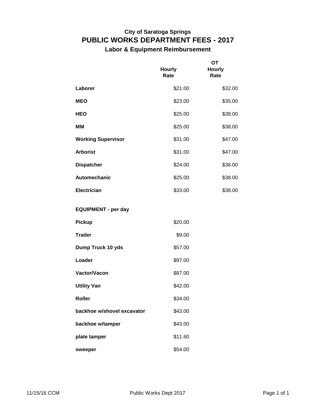## **PUBLIC WORKS DEPARTMENT FEES - 2017 City of Saratoga Springs**

**Labor & Equipment Reimbursement**

|                            | <b>Hourly</b><br>Rate | <b>OT</b><br><b>Hourly</b><br>Rate |
|----------------------------|-----------------------|------------------------------------|
| Laborer                    | \$21.00               | \$32.00                            |
| <b>MEO</b>                 | \$23.00               | \$35.00                            |
| <b>HEO</b>                 | \$25.00               | \$38.00                            |
| <b>MM</b>                  | \$25.00               | \$38.00                            |
| <b>Working Supervisor</b>  | \$31.00               | \$47.00                            |
| <b>Arborist</b>            | \$31.00               | \$47.00                            |
| <b>Dispatcher</b>          | \$24.00               | \$36.00                            |
| Automechanic               | \$25.00               | \$38.00                            |
| <b>Electrician</b>         | \$33.00               | \$38.00                            |
| <b>EQUIPMENT - per day</b> |                       |                                    |
| <b>Pickup</b>              | \$20.00               |                                    |
| <b>Trailer</b>             | \$9.00                |                                    |
| Dump Truck 10 yds          | \$57.00               |                                    |
| Loader                     | \$97.00               |                                    |
| Vactor/Vacon               | \$87.00               |                                    |
| <b>Utility Van</b>         | \$42.00               |                                    |
| <b>Roller</b>              | \$34.00               |                                    |
| backhoe w/shovel excavator | \$43.00               |                                    |
| backhoe w/tamper           | \$43.00               |                                    |
| plate tamper               | \$11.60               |                                    |
| sweeper                    | \$54.00               |                                    |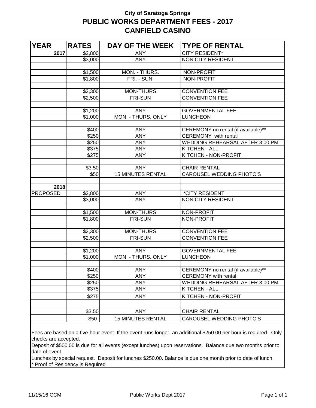## **City of Saratoga Springs PUBLIC WORKS DEPARTMENT FEES - 2017 CANFIELD CASINO**

| <b>YEAR</b>     | <b>RATES</b>   | DAY OF THE WEEK          | <b>TYPE OF RENTAL</b>                  |
|-----------------|----------------|--------------------------|----------------------------------------|
| 2017            | \$2,800        | <b>ANY</b>               | <b>CITY RESIDENT*</b>                  |
|                 | \$3,000        | <b>ANY</b>               | <b>NON CITY RESIDENT</b>               |
|                 |                |                          |                                        |
|                 | \$1,500        | MON. - THURS.            | NON-PROFIT                             |
|                 | \$1,800        | FRI. - SUN.              | NON-PROFIT                             |
|                 |                |                          |                                        |
|                 | \$2,300        | <b>MON-THURS</b>         | <b>CONVENTION FEE</b>                  |
|                 | \$2,500        | <b>FRI-SUN</b>           | <b>CONVENTION FEE</b>                  |
|                 |                |                          |                                        |
|                 | \$1,200        | <b>ANY</b>               | <b>GOVERNMENTAL FEE</b>                |
|                 | \$1,000        | MON. - THURS. ONLY       | <b>LUNCHEON</b>                        |
|                 |                |                          |                                        |
|                 | \$400          | <b>ANY</b>               | CEREMONY no rental (if available)**    |
|                 | \$250          | <b>ANY</b>               | CEREMONY with rental                   |
|                 | \$250          | <b>ANY</b>               | <b>WEDDING REHEARSAL AFTER 3:00 PM</b> |
|                 | \$375          | <b>ANY</b>               | KITCHEN - ALL                          |
|                 | \$275          | <b>ANY</b>               | KITCHEN - NON-PROFIT                   |
|                 |                | <b>ANY</b>               | <b>CHAIR RENTAL</b>                    |
|                 | \$3.50<br>\$50 | <b>15 MINUTES RENTAL</b> | <b>CAROUSEL WEDDING PHOTO'S</b>        |
|                 |                |                          |                                        |
| 2018            |                |                          |                                        |
| <b>PROPOSED</b> | \$2,800        | <b>ANY</b>               | *CITY RESIDENT                         |
|                 | \$3,000        | <b>ANY</b>               | NON CITY RESIDENT                      |
|                 |                |                          |                                        |
|                 | \$1,500        | <b>MON-THURS</b>         | NON-PROFIT                             |
|                 | \$1,800        | <b>FRI-SUN</b>           | <b>NON-PROFIT</b>                      |
|                 |                |                          |                                        |
|                 | \$2,300        | <b>MON-THURS</b>         | <b>CONVENTION FEE</b>                  |
|                 | \$2,500        | <b>FRI-SUN</b>           | <b>CONVENTION FEE</b>                  |
|                 |                |                          |                                        |
|                 | \$1,200        | <b>ANY</b>               | <b>GOVERNMENTAL FEE</b>                |
|                 | \$1,000        | MON. - THURS. ONLY       | <b>LUNCHEON</b>                        |
|                 |                |                          |                                        |
|                 | \$400          | <b>ANY</b>               | CEREMONY no rental (if available)**    |
|                 | \$250          | <b>ANY</b>               | <b>CEREMONY</b> with rental            |
|                 | \$250          | <b>ANY</b>               | <b>WEDDING REHEARSAL AFTER 3:00 PM</b> |
|                 | \$375          | <b>ANY</b>               | <b>KITCHEN - ALL</b>                   |
|                 | \$275          | <b>ANY</b>               | KITCHEN - NON-PROFIT                   |
|                 |                |                          |                                        |
|                 | \$3.50         | <b>ANY</b>               | <b>CHAIR RENTAL</b>                    |
|                 | \$50           | <b>15 MINUTES RENTAL</b> | CAROUSEL WEDDING PHOTO'S               |
|                 |                |                          |                                        |

Fees are based on a five-hour event. If the event runs longer, an additional \$250.00 per hour is required. Only checks are accepted.

Deposit of \$500.00 is due for all events (except lunches) upon reservations. Balance due two months prior to date of event.

Lunches by special request. Deposit for lunches \$250.00. Balance is due one month prior to date of lunch. \* Proof of Residency is Required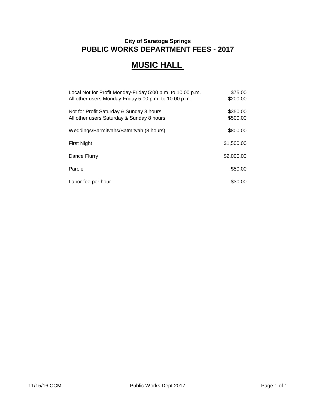## **MUSIC HALL**

| Local Not for Profit Monday-Friday 5:00 p.m. to 10:00 p.m. | \$75.00    |
|------------------------------------------------------------|------------|
| All other users Monday-Friday 5:00 p.m. to 10:00 p.m.      | \$200.00   |
| Not for Profit Saturday & Sunday 8 hours                   | \$350.00   |
| All other users Saturday & Sunday 8 hours                  | \$500.00   |
| Weddings/Barmitvahs/Batmitvah (8 hours)                    | \$800.00   |
| First Night                                                | \$1,500.00 |
| Dance Flurry                                               | \$2,000.00 |
| Parole                                                     | \$50.00    |
| Labor fee per hour                                         | \$30.00    |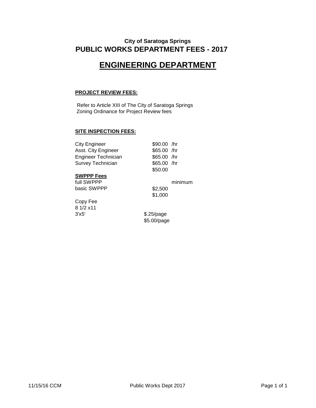#### **PUBLIC WORKS DEPARTMENT FEES - 2017 City of Saratoga Springs**

## **ENGINEERING DEPARTMENT**

#### **PROJECT REVIEW FEES:**

Refer to Article XIII of The City of Saratoga Springs Zoning Ordinance for Project Review fees

#### **SITE INSPECTION FEES:**

| <b>City Engineer</b> | $$90.00$ /hr |
|----------------------|--------------|
| Asst. City Engineer  | \$65.00 /hr  |
| Engineer Technician  | \$65.00 /hr  |
| Survey Technician    | $$65.00$ /hr |
|                      | \$50.00      |

#### **SWPPP Fees**

full SWPPP minimum basic SWPPP \$2,500

Copy Fee  $8 \frac{1}{2} \times 11$ 

\$1,000

3'x5' \$.25/page \$5.00/page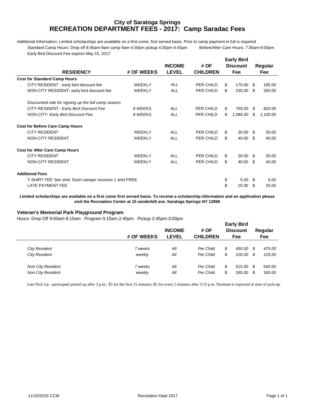#### **RECREATION DEPARTMENT FEES - 2017: Camp Saradac Fees City of Saratoga Springs**

Additional Information: Limited scholarships are available on a first come, first served basis. Prior to camp payment in full is required Standard Camp Hours: Drop off 8:45am-9am camp 9am-4:30pm pickup 4:30pm-4:45pm Before/After Care Hours: 7:30am-6:00pm Early Bird Discount Fee expires May 15, 2017

|                                                           |               |               |                  | <b>Early Bird</b> |      |            |
|-----------------------------------------------------------|---------------|---------------|------------------|-------------------|------|------------|
|                                                           |               | <b>INCOME</b> | # OF             | <b>Discount</b>   |      | Regular    |
| <b>RESIDENCY</b>                                          | # OF WEEKS    | <b>LEVEL</b>  | <b>CHILDREN</b>  | <b>Fee</b>        |      | <b>Fee</b> |
| <b>Cost for Standard Camp Hours</b>                       |               |               |                  |                   |      |            |
| CITY RESIDENT - early bird discount fee                   | <b>WEEKLY</b> | ALL           | PER CHILD        | \$<br>170.00 \$   |      | 195.00     |
| NON-CITY RESIDENT- early bird discount fee                | <b>WEEKLY</b> | <b>ALL</b>    | PER CHILD        | \$<br>235.00      | - \$ | 260.00     |
| Discounted rate for signing up the full camp season       |               |               |                  |                   |      |            |
| CITY RESIDENT - Early Bird Discount Fee                   | 8 WEEKS       | ALL           | <b>PER CHILD</b> | \$<br>795.00      | \$   | 820.00     |
| <b>NON-CITY- Early Bird Discount Fee</b>                  | 8 WEEKS       | <b>ALL</b>    | <b>PER CHILD</b> | \$<br>1,085.00    | \$   | 1,100.00   |
| <b>Cost for Before Care Camp Hours</b>                    |               |               |                  |                   |      |            |
| <b>CITY RESIDENT</b>                                      | <b>WEEKLY</b> | ALL           | PER CHILD        | \$<br>$30.00$ \$  |      | 30.00      |
| NON-CITY RESIDENT                                         | WEEKLY        | ALL           | PER CHILD        | \$<br>40.00       | -\$  | 40.00      |
| <b>Cost for After Care Camp Hours</b>                     |               |               |                  |                   |      |            |
| <b>CITY RESIDENT</b>                                      | <b>WEEKLY</b> | ALL           | PER CHILD        | \$<br>$30.00$ \$  |      | 30.00      |
| NON-CITY RESIDENT                                         | <b>WEEKLY</b> | ALL           | PER CHILD        | \$<br>40.00       | -\$  | 40.00      |
| <b>Additional Fees</b>                                    |               |               |                  |                   |      |            |
| T-SHIRT FEE *per shirt. Each camper receives 1 shirt FREE |               |               |                  | \$<br>5.00        | - \$ | 5.00       |
| <b>LATE PAYMENT FEE</b>                                   |               |               |                  | \$<br>25.00       | \$.  | 25.00      |

**Limited scholarships are available on a first come first served basis. To receive a scholarship information and an application please visit the Recreation Center at 15 vanderbilt ave. Saratoga Springs NY 12866**

#### **Veteran's Memorial Park Playground Program**

Hours: Drop Off 9:00am-9:15am Program 9:15am-2:45pm Pickup 2:45pm-3:00pm

|                          |            |               | <b>Early Bird</b> |    |                 |     |         |  |
|--------------------------|------------|---------------|-------------------|----|-----------------|-----|---------|--|
|                          |            | <b>INCOME</b> | # OF              |    | <b>Discount</b> |     | Regular |  |
|                          | # OF WEEKS | <b>LEVEL</b>  | <b>CHILDREN</b>   |    | Fee             |     | Fee     |  |
|                          |            |               |                   |    |                 |     |         |  |
| <b>City Resident</b>     | 7 weeks    | All           | Per Child         | \$ | 450.00          | S   | 475.00  |  |
| <b>City Resident</b>     | weekly     | All           | Per Child         | \$ | 100.00          | S   | 125.00  |  |
| <b>Non City Resident</b> | 7 weeks    | All           | Per Child         | \$ | 515.00          | \$. | 540.00  |  |
| <b>Non City Resident</b> | weekly     | All           | <b>Per Child</b>  | \$ | 165.00          | \$. | 165.00  |  |
|                          |            |               |                   |    |                 |     |         |  |

Late Pick Up - participant picked up after 3 p.m.: \$5 for the first 15 minutes; \$5 for every 5 minutes after 3:15 p.m. Payment is expected at time of pick-up.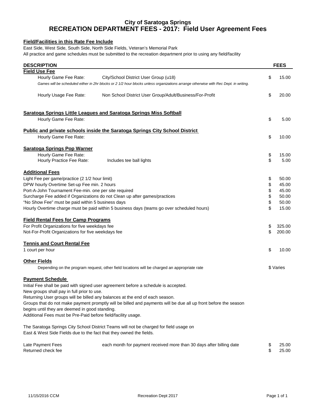#### **RECREATION DEPARTMENT FEES - 2017: Field User Agreement Fees City of Saratoga Springs**

#### **Field/Facilities in this Rate Fee Include**

East Side, West Side, South Side, North Side Fields, Veteran's Memorial Park

All practice and game schedules must be submitted to the recreation department prior to using any field/facility

| <b>DESCRIPTION</b>                                                                                              |                                                                                                                                     | <b>FEES</b>  |
|-----------------------------------------------------------------------------------------------------------------|-------------------------------------------------------------------------------------------------------------------------------------|--------------|
| <b>Field Use Fee</b>                                                                                            |                                                                                                                                     |              |
| Hourly Game Fee Rate:                                                                                           | City/School District User Group (u18)                                                                                               | \$<br>15.00  |
|                                                                                                                 | Games will be scheduled either in 2hr blocks or 2 1/2 hour blocks unless organizations arrange otherwise with Rec Dept. in writing. |              |
| Hourly Usage Fee Rate:                                                                                          | Non School District User Group/Adult/Business/For-Profit                                                                            | \$<br>20.00  |
|                                                                                                                 | <b>Saratoga Springs Little Leagues and Saratoga Springs Miss Softball</b>                                                           |              |
| Hourly Game Fee Rate:                                                                                           |                                                                                                                                     | \$<br>5.00   |
|                                                                                                                 | Public and private schools inside the Saratoga Springs City School District                                                         |              |
| Hourly Game Fee Rate:                                                                                           |                                                                                                                                     | \$<br>10.00  |
| <b>Saratoga Springs Pop Warner</b>                                                                              |                                                                                                                                     |              |
| Hourly Game Fee Rate:                                                                                           |                                                                                                                                     | \$<br>15.00  |
| Hourly Practice Fee Rate:                                                                                       | Includes tee ball lights                                                                                                            | \$<br>5.00   |
| <b>Additional Fees</b>                                                                                          |                                                                                                                                     |              |
| Light Fee per game/practice (2 1/2 hour limit)                                                                  |                                                                                                                                     | \$<br>50.00  |
| DPW hourly Overtime Set-up Fee min. 2 hours                                                                     |                                                                                                                                     | \$<br>45.00  |
| Port-A-John Tournament Fee-min. one per site required                                                           |                                                                                                                                     | \$<br>45.00  |
|                                                                                                                 | Surcharge Fee added if Organizations do not Clean up after games/practices                                                          | \$<br>50.00  |
| "No Show Fee" must be paid within 5 business days                                                               |                                                                                                                                     | \$<br>50.00  |
|                                                                                                                 | Hourly Overtime charge must be paid within 5 business days (teams go over scheduled hours)                                          | \$<br>15.00  |
| <b>Field Rental Fees for Camp Programs</b>                                                                      |                                                                                                                                     |              |
| For Profit Organizations for five weekdays fee                                                                  |                                                                                                                                     | \$<br>325.00 |
| Not-For-Profit Organizations for five weekdays fee                                                              |                                                                                                                                     | \$<br>200.00 |
| <b>Tennis and Court Rental Fee</b>                                                                              |                                                                                                                                     |              |
| 1 court per hour                                                                                                |                                                                                                                                     | \$<br>10.00  |
| <b>Other Fields</b>                                                                                             |                                                                                                                                     |              |
|                                                                                                                 | Depending on the program request, other field locations will be charged an appropriate rate                                         | \$ Varies    |
| <b>Payment Schedule</b>                                                                                         |                                                                                                                                     |              |
|                                                                                                                 | Initial Fee shall be paid with signed user agreement before a schedule is accepted.                                                 |              |
| New groups shall pay in full prior to use.                                                                      |                                                                                                                                     |              |
|                                                                                                                 | Returning User groups will be billed any balances at the end of each season.                                                        |              |
|                                                                                                                 | Groups that do not make payment promptly will be billed and payments will be due all up front before the season                     |              |
| begins until they are deemed in good standing.<br>Additional Fees must be Pre-Paid before field/facility usage. |                                                                                                                                     |              |
|                                                                                                                 |                                                                                                                                     |              |
| East & West Side Fields due to the fact that they owned the fields.                                             | The Saratoga Springs City School District Teams will not be charged for field usage on                                              |              |
| Late Payment Fees                                                                                               | each month for payment received more than 30 days after billing date                                                                | \$<br>25.00  |
| Returned check fee                                                                                              |                                                                                                                                     | \$<br>25.00  |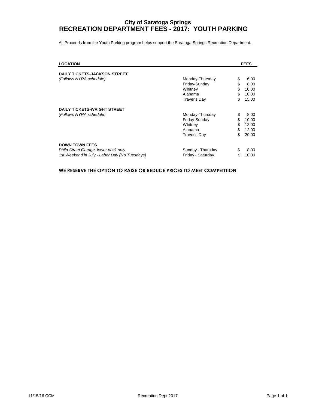#### **RECREATION DEPARTMENT FEES - 2017: YOUTH PARKING City of Saratoga Springs**

All Proceeds from the Youth Parking program helps support the Saratoga Springs Recreation Department.

| <b>LOCATION</b>                                                                                                |                                                                        |                            | <b>FEES</b>                              |
|----------------------------------------------------------------------------------------------------------------|------------------------------------------------------------------------|----------------------------|------------------------------------------|
| <b>DAILY TICKETS-JACKSON STREET</b>                                                                            |                                                                        |                            |                                          |
| (Follows NYRA schedule)                                                                                        | Monday-Thursday<br>Friday-Sunday<br>Whitney<br>Alabama<br>Traver's Day | \$<br>\$<br>\$<br>\$<br>\$ | 6.00<br>8.00<br>10.00<br>10.00<br>15.00  |
| <b>DAILY TICKETS-WRIGHT STREET</b><br>(Follows NYRA schedule)                                                  | Monday-Thursday<br>Friday-Sunday<br>Whitney<br>Alabama<br>Traver's Day | \$<br>\$<br>\$<br>\$<br>\$ | 8.00<br>10.00<br>12.00<br>12.00<br>20.00 |
| <b>DOWN TOWN FEES</b><br>Phila Street Garage, lower deck only<br>1st Weekend in July - Labor Day (No Tuesdays) | Sunday - Thursday<br>Friday - Saturday                                 | \$<br>\$                   | 8.00<br>10.00                            |

#### **WE RESERVE THE OPTION TO RAISE OR REDUCE PRICES TO MEET COMPETITION**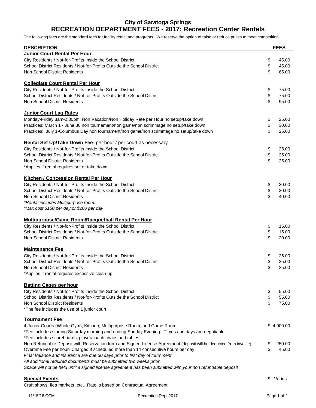#### **City of Saratoga Springs RECREATION DEPARTMENT FEES - 2017: Recreation Center Rentals**

The following fees are the standard fees for facility rental and programs. We reserve the option to raise or reduce prices to meet competition.

| <b>DESCRIPTION</b>                                                                                                |    | <b>FEES</b> |
|-------------------------------------------------------------------------------------------------------------------|----|-------------|
| Junior Court Rental Per Hour                                                                                      |    |             |
| City Residents / Not-for-Profits Inside the School District                                                       | \$ | 45.00       |
| School District Residents / Not-for-Profits Outside the School District                                           | \$ | 45.00       |
| Non School District Residents                                                                                     | \$ | 65.00       |
| <b>Collegiate Court Rental Per Hour</b>                                                                           |    |             |
| City Residents / Not-for-Profits Inside the School District                                                       | \$ | 75.00       |
| School District Residents / Not-for-Profits Outside the School District                                           | \$ | 75.00       |
| Non School District Residents                                                                                     | \$ | 95.00       |
| <b>Junior Court Lag Rates</b>                                                                                     |    |             |
| Monday-Friday 8am-2:30pm, Non Vacation/Non Holiday Rate per Hour no setup/take down                               | \$ | 25.00       |
| Practices: March 1 - June 30 non tournament/non game/non scrimmage no setup/take down                             | \$ | 30.00       |
| Practices: July 1-Columbus Day non tournament/non game/non scrimmage no setup/take down                           | \$ | 25.00       |
| Rental Set Up/Take Down Fee- per hour / per court as necessary                                                    |    |             |
| City Residents / Not-for-Profits Inside the School District                                                       | \$ | 25.00       |
| School District Residents / Not-for-Profits Outside the School District                                           | \$ | 25.00       |
| Non School District Residents                                                                                     | \$ | 25.00       |
| *Applies if rental requires set or take down                                                                      |    |             |
| <b>Kitchen / Concession Rental Per Hour</b>                                                                       |    |             |
| City Residents / Not-for-Profits Inside the School District                                                       | \$ | 30.00       |
| School District Residents / Not-for-Profits Outside the School District                                           | \$ | 30.00       |
| Non School District Residents                                                                                     | \$ | 40.00       |
| *Rental includes Multipurpose room.                                                                               |    |             |
| *Max cost \$150 per day or \$200 per day                                                                          |    |             |
|                                                                                                                   |    |             |
| <b>Multipurpose/Game Room/Racquetball Rental Per Hour</b>                                                         |    |             |
| City Residents / Not-for-Profits Inside the School District                                                       | \$ | 15.00       |
| School District Residents / Not-for-Profits Outside the School District                                           | \$ | 15.00       |
| Non School District Residents                                                                                     | \$ | 20.00       |
| <b>Maintenance Fee</b>                                                                                            |    |             |
| City Residents / Not-for-Profits Inside the School District                                                       | \$ | 25.00       |
| School District Residents / Not-for-Profits Outside the School District                                           | \$ | 25.00       |
| Non School District Residents                                                                                     | \$ | 25.00       |
| *Applies if rental requires excessive clean up                                                                    |    |             |
| <b>Batting Cages per hour</b>                                                                                     |    |             |
| City Residents / Not-for-Profits Inside the School District                                                       | \$ | 55.00       |
| School District Residents / Not-for-Profits Outside the School District                                           | \$ | 55.00       |
| Non School District Residents                                                                                     | \$ | 75.00       |
| *The fee includes the use of 1 junior court                                                                       |    |             |
| <b>Tournament Fee</b>                                                                                             |    |             |
| 4 Junior Courts (Whole Gym), Kitchen, Multipurpose Room, and Game Room                                            |    | \$4,000.00  |
| *Fee includes starting Saturday morning and ending Sunday Evening. Times and days are negotiable                  |    |             |
| *Fee includes scoreboards, player/coach chairs and tables                                                         |    |             |
| Non Refundable Deposit with Reservation form and Signed License Agreement (deposit will be deducted from invoice) | \$ | 250.00      |
| Overtime Fee per hour- Charged if scheduled more than 14 consecutive hours per day                                | \$ | 45.00       |
| Final Balance and insurance are due 30 days prior to first day of tournment                                       |    |             |
| All additional required documents must be submitted two weeks prior                                               |    |             |
| Space will not be held until a signed license agreement has been submitted with your non refundable deposit       |    |             |
|                                                                                                                   |    |             |
| <b>Special Events</b>                                                                                             | S  | Varies      |
| Craft shows, flea markets, etc Rate is based on Contractual Agreement                                             |    |             |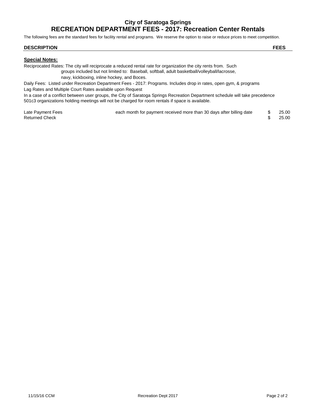#### **City of Saratoga Springs RECREATION DEPARTMENT FEES - 2017: Recreation Center Rentals**

The following fees are the standard fees for facility rental and programs. We reserve the option to raise or reduce prices to meet competition.

#### **DESCRIPTION FEES**

#### **Special Notes:**

Reciprocated Rates: The city will reciprocate a reduced rental rate for organization the city rents from. Such groups included but not limited to: Baseball, softball, adult basketball/volleyball/lacrosse, navy, kickboxing, inline hockey, and Boces.

Daily Fees: Listed under Recreation Department Fees - 2017: Programs. Includes drop in rates, open gym, & programs Lag Rates and Multiple Court Rates available upon Request

In a case of a conflict between user groups, the City of Saratoga Springs Recreation Department schedule will take precedence 501c3 organizations holding meetings will not be charged for room rentals if space is available.

| Late Payment Fees     | each month for payment received more than 30 days after billing date | 25.00 |
|-----------------------|----------------------------------------------------------------------|-------|
| <b>Returned Check</b> |                                                                      | 25.00 |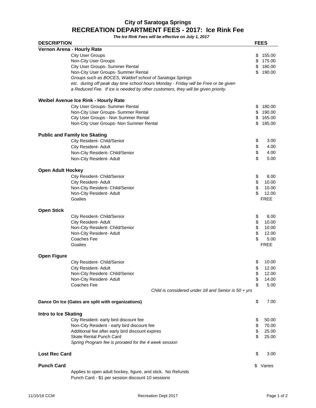#### **RECREATION DEPARTMENT FEES - 2017: Ice Rink Fee City of Saratoga Springs**

**The Ice Rink Fees will be effective on July 1, 2017**

| <b>DESCRIPTION</b>          |                                                                                     | <b>FEES</b>  |
|-----------------------------|-------------------------------------------------------------------------------------|--------------|
|                             | Vernon Arena - Hourly Rate                                                          |              |
|                             | <b>City User Groups</b>                                                             | \$<br>155.00 |
|                             | Non-City User Groups                                                                | \$<br>175.00 |
|                             | City User Groups- Summer Rental                                                     | \$<br>180.00 |
|                             | Non-City User Groups- Summer Rental                                                 | \$<br>190.00 |
|                             | Groups such as BOCES, Waldorf school of Saratoga Springs                            |              |
|                             | etc. during off peak day time school hours Monday - Friday will be Free or be given |              |
|                             | a Reduced Fee. If ice is needed by other customers, they will be given priority.    |              |
|                             |                                                                                     |              |
|                             | Weibel Avenue Ice Rink - Hourly Rate                                                |              |
|                             | City User Groups- Summer Rental                                                     | \$<br>180.00 |
|                             | Non-City User Groups- Summer Rental                                                 | \$<br>190.00 |
|                             | City User Groups - Non Summer Rental                                                | \$<br>165.00 |
|                             | Non-City User Groups- Non Summer Rental                                             | \$<br>185.00 |
|                             |                                                                                     |              |
|                             | <b>Public and Family Ice Skating</b>                                                |              |
|                             | City Resident- Child/Senior                                                         | \$<br>3.00   |
|                             | City Resident- Adult                                                                | \$<br>4.00   |
|                             | Non-City Resident- Child/Senior                                                     | \$<br>4.00   |
|                             |                                                                                     | \$<br>5.00   |
|                             | Non-City Resident- Adult                                                            |              |
| <b>Open Adult Hockey</b>    |                                                                                     |              |
|                             | City Resident- Child/Senior                                                         | \$<br>8.00   |
|                             | City Resident- Adult                                                                | \$<br>10.00  |
|                             | Non-City Resident- Child/Senior                                                     | \$<br>10.00  |
|                             | Non-City Resident- Adult                                                            | \$<br>12.00  |
|                             |                                                                                     | <b>FREE</b>  |
|                             | Goalies                                                                             |              |
| <b>Open Stick</b>           |                                                                                     |              |
|                             | City Resident- Child/Senior                                                         | \$<br>8.00   |
|                             | City Resident- Adult                                                                | \$<br>10.00  |
|                             | Non-City Resident- Child/Senior                                                     | \$<br>10.00  |
|                             | Non-City Resident- Adult                                                            | \$<br>12.00  |
|                             | Coaches Fee                                                                         | \$<br>5.00   |
|                             |                                                                                     | <b>FREE</b>  |
|                             | Goalies                                                                             |              |
| <b>Open Figure</b>          |                                                                                     |              |
|                             | City Resident- Child/Senior                                                         | \$<br>10.00  |
|                             | City Resident- Adult                                                                | \$<br>12.00  |
|                             | Non-City Resident- Child/Senior                                                     | \$<br>12.00  |
|                             | Non-City Resident- Adult                                                            | \$<br>14.00  |
|                             | Coaches Fee                                                                         | \$<br>5.00   |
|                             | Child is considered under 18 and Senior is $50 + yrs$                               |              |
|                             |                                                                                     |              |
|                             | Dance On Ice (Gates are split with organizations)                                   | \$<br>7.00   |
|                             |                                                                                     |              |
| <b>Intro to Ice Skating</b> |                                                                                     |              |
|                             | City Resident- early bird discount fee                                              | \$<br>50.00  |
|                             | Non-City Resident - early bird discount fee                                         | \$<br>70.00  |
|                             | Additional fee after early bird discount expires                                    | \$<br>25.00  |
|                             | Skate Rental Punch Card                                                             | \$<br>25.00  |
|                             | Spring Program fee is prorated for the 4 week session                               |              |
|                             |                                                                                     |              |
| <b>Lost Rec Card</b>        |                                                                                     | \$<br>3.00   |
|                             |                                                                                     |              |
| <b>Punch Card</b>           |                                                                                     | \$<br>Varies |
|                             | Applies to open adult hockey, figure, and stick. No Refunds                         |              |
|                             | Punch Card - \$1 per session discount 10 sessions                                   |              |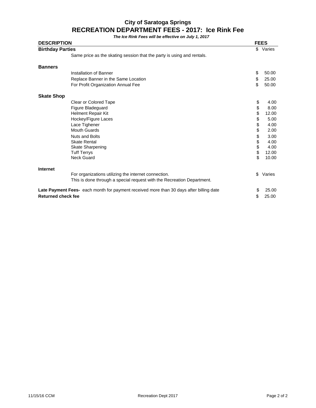#### **RECREATION DEPARTMENT FEES - 2017: Ice Rink Fee City of Saratoga Springs**

**The Ice Rink Fees will be effective on July 1, 2017**

| <b>DESCRIPTION</b><br><b>Birthday Parties</b> |                                                                                                |        | <b>FEES</b> |  |
|-----------------------------------------------|------------------------------------------------------------------------------------------------|--------|-------------|--|
|                                               |                                                                                                | \$     | Varies      |  |
|                                               | Same price as the skating session that the party is using and rentals.                         |        |             |  |
| <b>Banners</b>                                |                                                                                                |        |             |  |
|                                               | Installation of Banner                                                                         | \$     | 50.00       |  |
|                                               | Replace Banner in the Same Location                                                            | \$     | 25.00       |  |
|                                               | For Profit Organization Annual Fee                                                             | \$     | 50.00       |  |
| <b>Skate Shop</b>                             |                                                                                                |        |             |  |
|                                               | Clear or Colored Tape                                                                          | \$     | 4.00        |  |
|                                               | Figure Bladeguard                                                                              | \$     | 8.00        |  |
|                                               | Helment Repair Kit                                                                             | \$     | 12.00       |  |
|                                               | Hockey/Figure Laces                                                                            | \$     | 5.00        |  |
|                                               | Lace Tighener                                                                                  | \$     | 4.00        |  |
|                                               | <b>Mouth Guards</b>                                                                            | \$     | 2.00        |  |
|                                               | <b>Nuts and Bolts</b>                                                                          |        | 3.00        |  |
|                                               | <b>Skate Rental</b>                                                                            | \$\$\$ | 4.00        |  |
|                                               | <b>Skate Sharpening</b>                                                                        |        | 4.00        |  |
|                                               | <b>Tuff Terrys</b>                                                                             |        | 12.00       |  |
|                                               | <b>Neck Guard</b>                                                                              | \$     | 10.00       |  |
| <b>Internet</b>                               |                                                                                                |        |             |  |
|                                               | For organizations utilizing the internet connection.                                           | \$     | Varies      |  |
|                                               | This is done through a special request with the Recreation Department.                         |        |             |  |
|                                               | <b>Late Payment Fees-</b> each month for payment received more than 30 days after billing date | \$     | 25.00       |  |
| <b>Returned check fee</b>                     |                                                                                                | \$     | 25.00       |  |
|                                               |                                                                                                |        |             |  |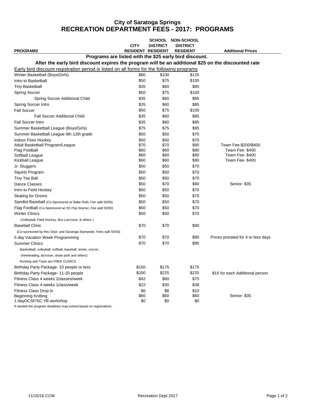#### **City of Saratoga Springs RECREATION DEPARTMENT FEES - 2017: PROGRAMS**

|                                                                                                     |                          |                 | SCHOOL NON-SCHOOL |                                    |
|-----------------------------------------------------------------------------------------------------|--------------------------|-----------------|-------------------|------------------------------------|
|                                                                                                     | <b>CITY</b>              | <b>DISTRICT</b> | <b>DISTRICT</b>   |                                    |
| <b>PROGRAMS</b>                                                                                     | <b>RESIDENT RESIDENT</b> |                 | <b>RESIDENT</b>   | <b>Additional Prices</b>           |
| Programs are listed with the \$25 early bird discount.                                              |                          |                 |                   |                                    |
| After the early bird discount expires the program will be an additional \$25 on the discounted rate |                          |                 |                   |                                    |
| Early bird discount registration period is listed on all forms for the following programs           |                          |                 |                   |                                    |
| Winter Basketball (Boys/Girls)                                                                      | \$80                     | \$100           | \$125             |                                    |
| Intro to Basketball                                                                                 | \$50                     | \$75            | \$100             |                                    |
| Tiny Basketball                                                                                     | \$35                     | \$60            | \$85              |                                    |
| <b>Spring Soccer</b>                                                                                | \$50                     | \$75            | \$100             |                                    |
| Spring Soccer Additional Child                                                                      | \$35                     | \$60            | \$85              |                                    |
| Spring Soccer Intro                                                                                 | \$35                     | \$60            | \$85              |                                    |
| <b>Fall Soccer</b>                                                                                  | \$50                     | \$75            | \$100             |                                    |
| <b>Fall Soccer Additional Child</b>                                                                 | \$35                     | \$60            | \$85              |                                    |
| <b>Fall Soccer Intro</b>                                                                            | \$35                     | \$60            | \$85              |                                    |
| Summer Basketball League (Boys/Girls)                                                               | \$75                     | \$75            | \$95              |                                    |
| Summer Basketball League 9th-12th grade                                                             | \$50                     | \$50            | \$70              |                                    |
| Indoor Floor Hockey                                                                                 | \$50                     | \$50            | \$70              |                                    |
| Adult Basketball Program/League                                                                     | \$70                     | \$70            | \$90              | Team Fee-\$200/\$400               |
| <b>Flag Football</b>                                                                                | \$60                     | \$60            | \$80              | Team Fee-\$400                     |
| Softball League                                                                                     | \$60<br>\$60             | \$60<br>\$60    | \$80<br>\$80      | Team Fee-\$400<br>Team Fee-\$400   |
| Kickball League                                                                                     |                          |                 |                   |                                    |
| Jr. Sluggers                                                                                        | \$50                     | \$50            | \$70              |                                    |
| Squirts Program                                                                                     | \$50                     | \$50            | \$70              |                                    |
| Tiny Tee Ball                                                                                       | \$50                     | \$50            | \$70              |                                    |
| Dance Classes                                                                                       | \$50                     | \$70            | \$90              | Senior- \$35                       |
| Intro to Field Hockey                                                                               | \$50                     | \$50            | \$70              |                                    |
| <b>Skating for Groms</b>                                                                            | \$50                     | \$50            | \$70              |                                    |
| Sandlot Baseball (Co-Sponsored w/ Babe Ruth, Fee split 50/50)                                       | \$50                     | \$50            | \$70              |                                    |
| Flag Football (Co-Sponsored w/ SS Pop Warner, Fee split 50/50)                                      | \$50                     | \$50            | \$70              |                                    |
| <b>Winter Clinics</b>                                                                               | \$50                     | \$50            | \$70              |                                    |
| (Volleyball, Field Hockey, Box Lacrosse, & others)                                                  |                          |                 |                   |                                    |
| <b>Baseball Clinic</b>                                                                              | \$70                     | \$70            | \$90              |                                    |
| (Co-sponsored by Rec Dept. and Saratoga Stampede. Fees split 50/50)                                 |                          |                 |                   |                                    |
| 5 day Vacation Week Programming                                                                     | \$70                     | \$70            | \$90              | Prices prorated for 4 or less days |
| <b>Summer Clinics</b>                                                                               | \$70                     | \$70            | \$90              |                                    |
| (basketball, volleyball, softball, baseball, tennis, soccer,                                        |                          |                 |                   |                                    |
| cheerleading, lacrosse, skate park and others)                                                      |                          |                 |                   |                                    |
| Running and Track are FREE CLINICS                                                                  |                          |                 |                   |                                    |
| Birthday Party Package- 10 people or less                                                           | \$150                    | \$175           | \$175             |                                    |
| Birthday Party Package- 11-20 people                                                                | \$200                    | \$225           | \$225             | \$15 for each Additional person    |
| Fitness Class 4 weeks 2 classes/week                                                                | \$42                     | \$60            | \$75              |                                    |
| Fitness Class 4 weeks 1 class/week                                                                  | \$22                     | \$30            | \$38              |                                    |
| Fitness Class Drop In                                                                               | \$6                      | \$8             | \$10              |                                    |
| <b>Beginning Knitting</b>                                                                           | \$60                     | \$60            | \$60              | Senior- \$35                       |
| 1 dayOCSF/SC YB workshop                                                                            | \$0                      | \$0             | \$0               |                                    |

If needed the program deadlines may extend based on registrations.